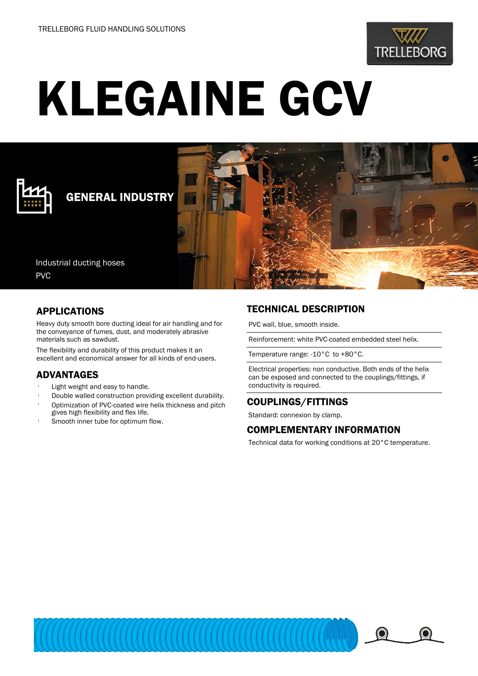

# KLEGAINE GCV



## GENERAL INDUSTRY

Industrial ducting hoses PVC

#### APPLICATIONS

Heavy duty smooth bore ducting ideal for air handling and for the conveyance of fumes, dust, and moderately abrasive materials such as sawdust.

The flexibility and durability of this product makes it an excellent and economical answer for all kinds of end-users.

#### ADVANTAGES

- Light weight and easy to handle.
- Double walled construction providing excellent durability.
- <sup>l</sup> Optimization of PVC-coated wire helix thickness and pitch gives high flexibility and flex life.
- Smooth inner tube for optimum flow.

### TECHNICAL DESCRIPTION

PVC wall, blue, smooth inside.

Reinforcement: white PVC-coated embedded steel helix.

Temperature range: -10°C to +80°C.

Electrical properties: non conductive. Both ends of the helix can be exposed and connected to the couplings/fittings, if conductivity is required.

#### COUPLINGS/FITTINGS

Standard: connexion by clamp.

#### COMPLEMENTARY INFORMATION

Technical data for working conditions at 20°C temperature.